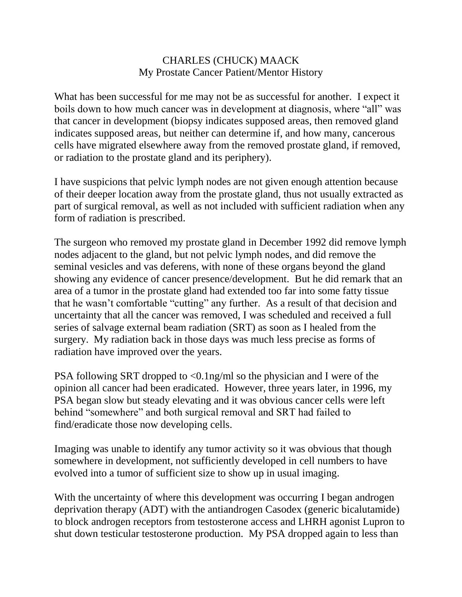## CHARLES (CHUCK) MAACK My Prostate Cancer Patient/Mentor History

What has been successful for me may not be as successful for another. I expect it boils down to how much cancer was in development at diagnosis, where "all" was that cancer in development (biopsy indicates supposed areas, then removed gland indicates supposed areas, but neither can determine if, and how many, cancerous cells have migrated elsewhere away from the removed prostate gland, if removed, or radiation to the prostate gland and its periphery).

I have suspicions that pelvic lymph nodes are not given enough attention because of their deeper location away from the prostate gland, thus not usually extracted as part of surgical removal, as well as not included with sufficient radiation when any form of radiation is prescribed.

The surgeon who removed my prostate gland in December 1992 did remove lymph nodes adjacent to the gland, but not pelvic lymph nodes, and did remove the seminal vesicles and vas deferens, with none of these organs beyond the gland showing any evidence of cancer presence/development. But he did remark that an area of a tumor in the prostate gland had extended too far into some fatty tissue that he wasn't comfortable "cutting" any further. As a result of that decision and uncertainty that all the cancer was removed, I was scheduled and received a full series of salvage external beam radiation (SRT) as soon as I healed from the surgery. My radiation back in those days was much less precise as forms of radiation have improved over the years.

PSA following SRT dropped to <0.1ng/ml so the physician and I were of the opinion all cancer had been eradicated. However, three years later, in 1996, my PSA began slow but steady elevating and it was obvious cancer cells were left behind "somewhere" and both surgical removal and SRT had failed to find/eradicate those now developing cells.

Imaging was unable to identify any tumor activity so it was obvious that though somewhere in development, not sufficiently developed in cell numbers to have evolved into a tumor of sufficient size to show up in usual imaging.

With the uncertainty of where this development was occurring I began androgen deprivation therapy (ADT) with the antiandrogen Casodex (generic bicalutamide) to block androgen receptors from testosterone access and LHRH agonist Lupron to shut down testicular testosterone production. My PSA dropped again to less than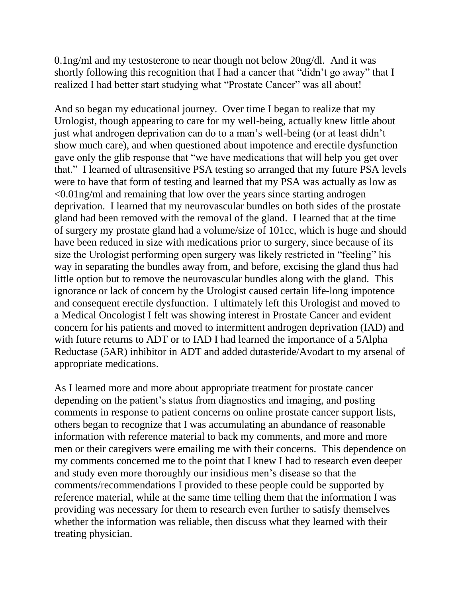0.1ng/ml and my testosterone to near though not below 20ng/dl. And it was shortly following this recognition that I had a cancer that "didn't go away" that I realized I had better start studying what "Prostate Cancer" was all about!

And so began my educational journey. Over time I began to realize that my Urologist, though appearing to care for my well-being, actually knew little about just what androgen deprivation can do to a man's well-being (or at least didn't show much care), and when questioned about impotence and erectile dysfunction gave only the glib response that "we have medications that will help you get over that." I learned of ultrasensitive PSA testing so arranged that my future PSA levels were to have that form of testing and learned that my PSA was actually as low as <0.01ng/ml and remaining that low over the years since starting androgen deprivation. I learned that my neurovascular bundles on both sides of the prostate gland had been removed with the removal of the gland. I learned that at the time of surgery my prostate gland had a volume/size of 101cc, which is huge and should have been reduced in size with medications prior to surgery, since because of its size the Urologist performing open surgery was likely restricted in "feeling" his way in separating the bundles away from, and before, excising the gland thus had little option but to remove the neurovascular bundles along with the gland. This ignorance or lack of concern by the Urologist caused certain life-long impotence and consequent erectile dysfunction. I ultimately left this Urologist and moved to a Medical Oncologist I felt was showing interest in Prostate Cancer and evident concern for his patients and moved to intermittent androgen deprivation (IAD) and with future returns to ADT or to IAD I had learned the importance of a 5Alpha Reductase (5AR) inhibitor in ADT and added dutasteride/Avodart to my arsenal of appropriate medications.

As I learned more and more about appropriate treatment for prostate cancer depending on the patient's status from diagnostics and imaging, and posting comments in response to patient concerns on online prostate cancer support lists, others began to recognize that I was accumulating an abundance of reasonable information with reference material to back my comments, and more and more men or their caregivers were emailing me with their concerns. This dependence on my comments concerned me to the point that I knew I had to research even deeper and study even more thoroughly our insidious men's disease so that the comments/recommendations I provided to these people could be supported by reference material, while at the same time telling them that the information I was providing was necessary for them to research even further to satisfy themselves whether the information was reliable, then discuss what they learned with their treating physician.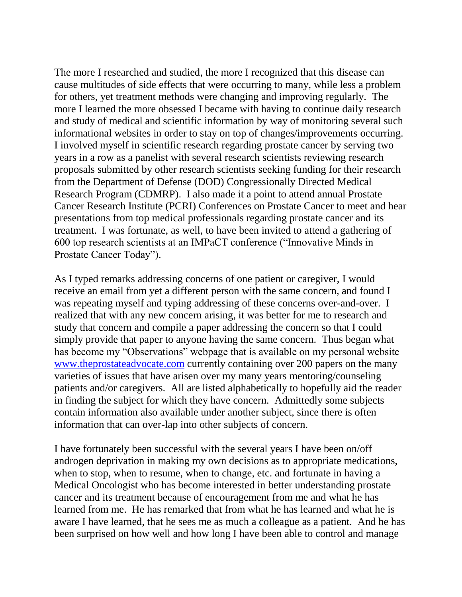The more I researched and studied, the more I recognized that this disease can cause multitudes of side effects that were occurring to many, while less a problem for others, yet treatment methods were changing and improving regularly. The more I learned the more obsessed I became with having to continue daily research and study of medical and scientific information by way of monitoring several such informational websites in order to stay on top of changes/improvements occurring. I involved myself in scientific research regarding prostate cancer by serving two years in a row as a panelist with several research scientists reviewing research proposals submitted by other research scientists seeking funding for their research from the Department of Defense (DOD) Congressionally Directed Medical Research Program (CDMRP). I also made it a point to attend annual Prostate Cancer Research Institute (PCRI) Conferences on Prostate Cancer to meet and hear presentations from top medical professionals regarding prostate cancer and its treatment. I was fortunate, as well, to have been invited to attend a gathering of 600 top research scientists at an IMPaCT conference ("Innovative Minds in Prostate Cancer Today").

As I typed remarks addressing concerns of one patient or caregiver, I would receive an email from yet a different person with the same concern, and found I was repeating myself and typing addressing of these concerns over-and-over. I realized that with any new concern arising, it was better for me to research and study that concern and compile a paper addressing the concern so that I could simply provide that paper to anyone having the same concern. Thus began what has become my "Observations" webpage that is available on my personal website [www.theprostateadvocate.com](http://www.theprostateadvocate.com/) currently containing over 200 papers on the many varieties of issues that have arisen over my many years mentoring/counseling patients and/or caregivers. All are listed alphabetically to hopefully aid the reader in finding the subject for which they have concern. Admittedly some subjects contain information also available under another subject, since there is often information that can over-lap into other subjects of concern.

I have fortunately been successful with the several years I have been on/off androgen deprivation in making my own decisions as to appropriate medications, when to stop, when to resume, when to change, etc. and fortunate in having a Medical Oncologist who has become interested in better understanding prostate cancer and its treatment because of encouragement from me and what he has learned from me. He has remarked that from what he has learned and what he is aware I have learned, that he sees me as much a colleague as a patient. And he has been surprised on how well and how long I have been able to control and manage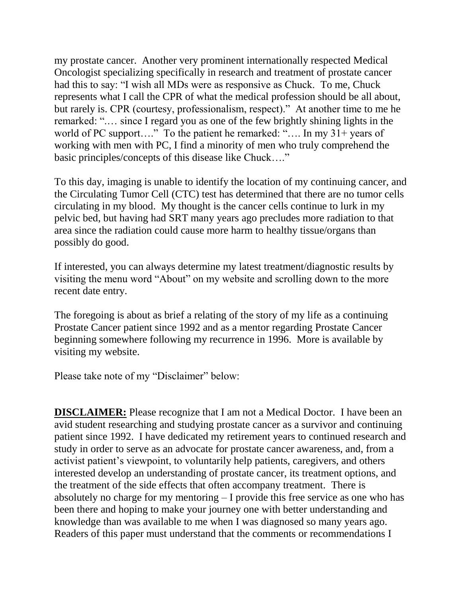my prostate cancer. Another very prominent internationally respected Medical Oncologist specializing specifically in research and treatment of prostate cancer had this to say: "I wish all MDs were as responsive as Chuck. To me, Chuck represents what I call the CPR of what the medical profession should be all about, but rarely is. CPR (courtesy, professionalism, respect)." At another time to me he remarked: ".… since I regard you as one of the few brightly shining lights in the world of PC support...." To the patient he remarked: ".... In my 31+ years of working with men with PC, I find a minority of men who truly comprehend the basic principles/concepts of this disease like Chuck…."

To this day, imaging is unable to identify the location of my continuing cancer, and the Circulating Tumor Cell (CTC) test has determined that there are no tumor cells circulating in my blood. My thought is the cancer cells continue to lurk in my pelvic bed, but having had SRT many years ago precludes more radiation to that area since the radiation could cause more harm to healthy tissue/organs than possibly do good.

If interested, you can always determine my latest treatment/diagnostic results by visiting the menu word "About" on my website and scrolling down to the more recent date entry.

The foregoing is about as brief a relating of the story of my life as a continuing Prostate Cancer patient since 1992 and as a mentor regarding Prostate Cancer beginning somewhere following my recurrence in 1996. More is available by visiting my website.

Please take note of my "Disclaimer" below:

**DISCLAIMER:** Please recognize that I am not a Medical Doctor. I have been an avid student researching and studying prostate cancer as a survivor and continuing patient since 1992. I have dedicated my retirement years to continued research and study in order to serve as an advocate for prostate cancer awareness, and, from a activist patient's viewpoint, to voluntarily help patients, caregivers, and others interested develop an understanding of prostate cancer, its treatment options, and the treatment of the side effects that often accompany treatment. There is absolutely no charge for my mentoring – I provide this free service as one who has been there and hoping to make your journey one with better understanding and knowledge than was available to me when I was diagnosed so many years ago. Readers of this paper must understand that the comments or recommendations I